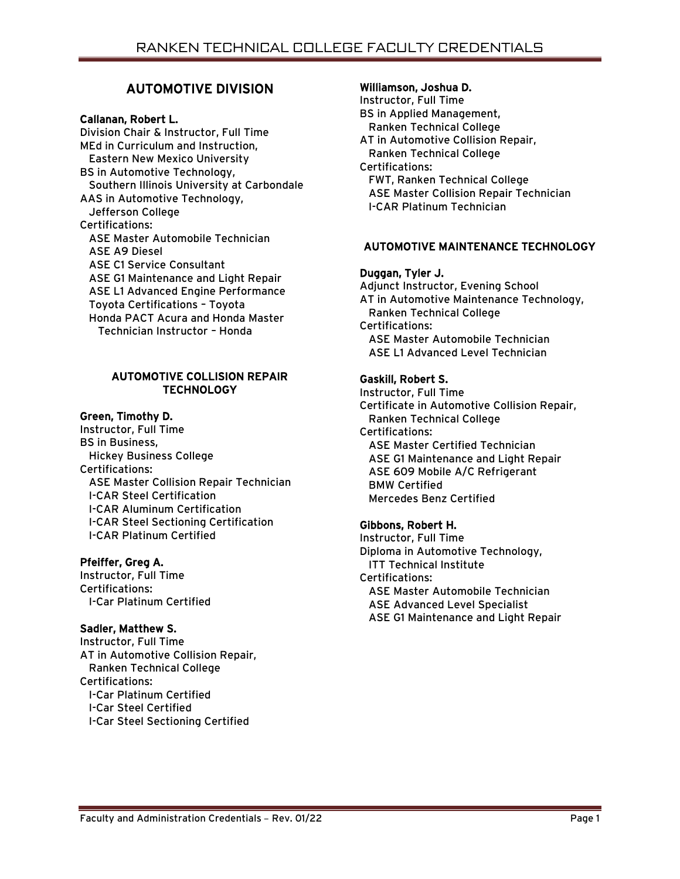# AUTOMOTIVE DIVISION

# Callanan, Robert L.

Division Chair & Instructor, Full Time MEd in Curriculum and Instruction, Eastern New Mexico University BS in Automotive Technology, Southern Illinois University at Carbondale AAS in Automotive Technology, Jefferson College Certifications: ASE Master Automobile Technician ASE A9 Diesel ASE C1 Service Consultant ASE G1 Maintenance and Light Repair ASE L1 Advanced Engine Performance Toyota Certifications – Toyota Honda PACT Acura and Honda Master Technician Instructor – Honda

### AUTOMOTIVE COLLISION REPAIR **TECHNOLOGY**

### Green, Timothy D.

Instructor, Full Time BS in Business, Hickey Business College Certifications: ASE Master Collision Repair Technician I-CAR Steel Certification I-CAR Aluminum Certification I-CAR Steel Sectioning Certification I-CAR Platinum Certified

### Pfeiffer, Greg A.

Instructor, Full Time Certifications: I-Car Platinum Certified

### Sadler, Matthew S.

Instructor, Full Time AT in Automotive Collision Repair, Ranken Technical College Certifications: I-Car Platinum Certified I-Car Steel Certified I-Car Steel Sectioning Certified

### Williamson, Joshua D.

Instructor, Full Time BS in Applied Management, Ranken Technical College AT in Automotive Collision Repair, Ranken Technical College Certifications: FWT, Ranken Technical College ASE Master Collision Repair Technician I-CAR Platinum Technician

# AUTOMOTIVE MAINTENANCE TECHNOLOGY

### Duggan, Tyler J.

Adjunct Instructor, Evening School AT in Automotive Maintenance Technology, Ranken Technical College Certifications: ASE Master Automobile Technician ASE L1 Advanced Level Technician

# Gaskill, Robert S.

Instructor, Full Time Certificate in Automotive Collision Repair, Ranken Technical College Certifications: ASE Master Certified Technician ASE G1 Maintenance and Light Repair ASE 609 Mobile A/C Refrigerant BMW Certified Mercedes Benz Certified

### Gibbons, Robert H.

Instructor, Full Time Diploma in Automotive Technology, ITT Technical Institute Certifications: ASE Master Automobile Technician ASE Advanced Level Specialist ASE G1 Maintenance and Light Repair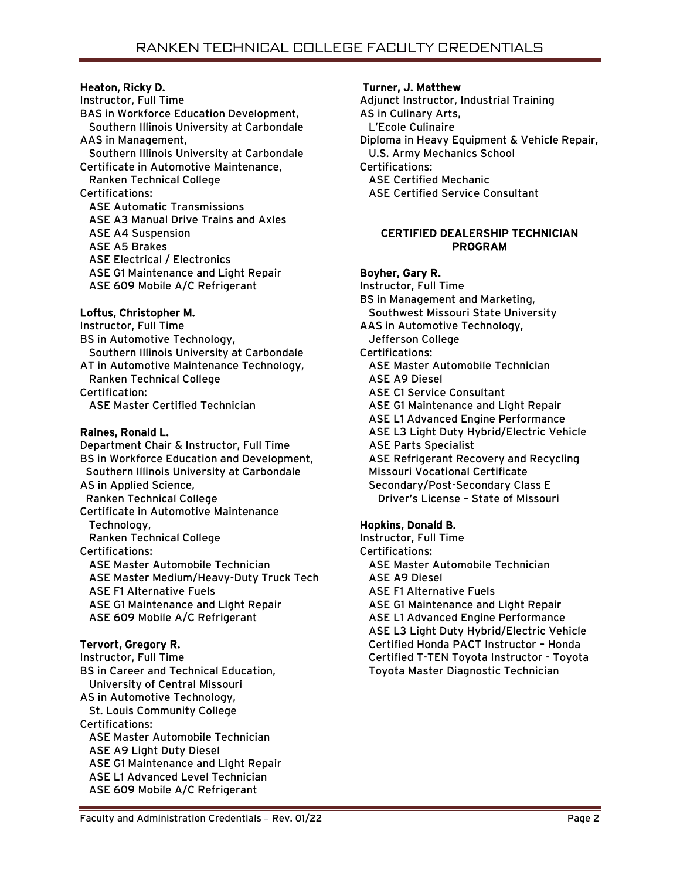# Heaton, Ricky D.

Instructor, Full Time BAS in Workforce Education Development, Southern Illinois University at Carbondale AAS in Management, Southern Illinois University at Carbondale Certificate in Automotive Maintenance, Ranken Technical College Certifications: ASE Automatic Transmissions ASE A3 Manual Drive Trains and Axles ASE A4 Suspension ASE A5 Brakes ASE Electrical / Electronics ASE G1 Maintenance and Light Repair ASE 609 Mobile A/C Refrigerant

# Loftus, Christopher M.

Instructor, Full Time BS in Automotive Technology, Southern Illinois University at Carbondale AT in Automotive Maintenance Technology, Ranken Technical College Certification: ASE Master Certified Technician

# Raines, Ronald L.

Department Chair & Instructor, Full Time BS in Workforce Education and Development, Southern Illinois University at Carbondale AS in Applied Science, Ranken Technical College Certificate in Automotive Maintenance Technology, Ranken Technical College Certifications: ASE Master Automobile Technician ASE Master Medium/Heavy-Duty Truck Tech ASE F1 Alternative Fuels ASE G1 Maintenance and Light Repair ASE 609 Mobile A/C Refrigerant

# Tervort, Gregory R.

Instructor, Full Time BS in Career and Technical Education, University of Central Missouri AS in Automotive Technology, St. Louis Community College Certifications: ASE Master Automobile Technician ASE A9 Light Duty Diesel ASE G1 Maintenance and Light Repair ASE L1 Advanced Level Technician ASE 609 Mobile A/C Refrigerant

# Turner, J. Matthew

Adjunct Instructor, Industrial Training AS in Culinary Arts, L'Ecole Culinaire Diploma in Heavy Equipment & Vehicle Repair, U.S. Army Mechanics School Certifications: ASE Certified Mechanic ASE Certified Service Consultant

### CERTIFIED DEALERSHIP TECHNICIAN PROGRAM

# Boyher, Gary R.

Instructor, Full Time BS in Management and Marketing, Southwest Missouri State University AAS in Automotive Technology, Jefferson College Certifications: ASE Master Automobile Technician ASE A9 Diesel ASE C1 Service Consultant ASE G1 Maintenance and Light Repair ASE L1 Advanced Engine Performance ASE L3 Light Duty Hybrid/Electric Vehicle ASE Parts Specialist ASE Refrigerant Recovery and Recycling Missouri Vocational Certificate Secondary/Post-Secondary Class E Driver's License – State of Missouri

# Hopkins, Donald B.

Instructor, Full Time Certifications: ASE Master Automobile Technician ASE A9 Diesel ASE F1 Alternative Fuels ASE G1 Maintenance and Light Repair ASE L1 Advanced Engine Performance ASE L3 Light Duty Hybrid/Electric Vehicle Certified Honda PACT Instructor – Honda Certified T-TEN Toyota Instructor - Toyota Toyota Master Diagnostic Technician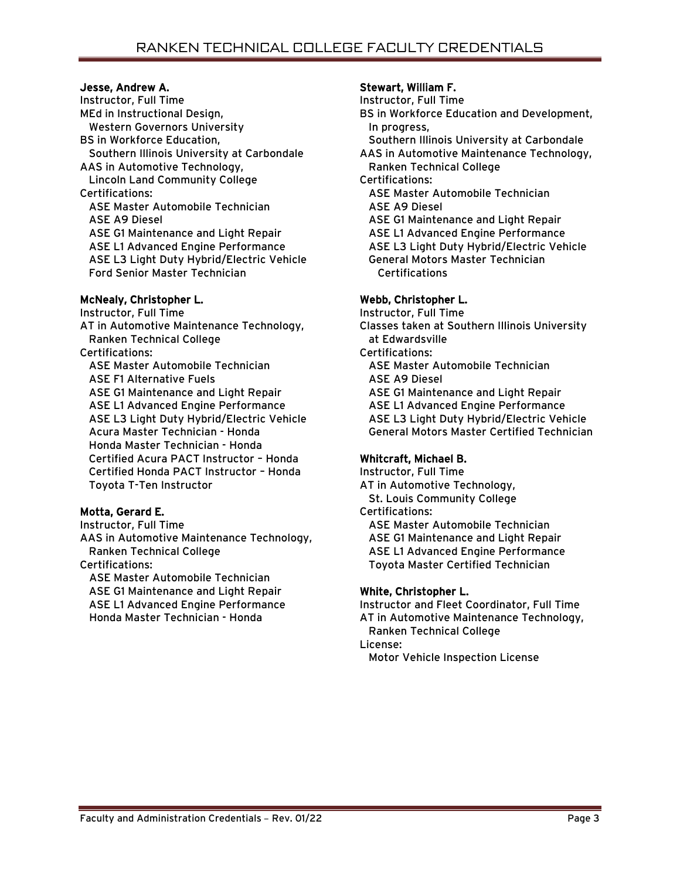# Jesse, Andrew A.

Instructor, Full Time MEd in Instructional Design, Western Governors University BS in Workforce Education, Southern Illinois University at Carbondale AAS in Automotive Technology, Lincoln Land Community College Certifications: ASE Master Automobile Technician ASE A9 Diesel ASE G1 Maintenance and Light Repair ASE L1 Advanced Engine Performance ASE L3 Light Duty Hybrid/Electric Vehicle Ford Senior Master Technician

# McNealy, Christopher L.

Instructor, Full Time AT in Automotive Maintenance Technology, Ranken Technical College Certifications: ASE Master Automobile Technician ASE F1 Alternative Fuels ASE G1 Maintenance and Light Repair ASE L1 Advanced Engine Performance ASE L3 Light Duty Hybrid/Electric Vehicle Acura Master Technician - Honda Honda Master Technician - Honda Certified Acura PACT Instructor – Honda Certified Honda PACT Instructor – Honda Toyota T-Ten Instructor

# Motta, Gerard E.

Instructor, Full Time AAS in Automotive Maintenance Technology, Ranken Technical College Certifications: ASE Master Automobile Technician ASE G1 Maintenance and Light Repair ASE L1 Advanced Engine Performance Honda Master Technician - Honda

# Stewart, William F.

Instructor, Full Time

- BS in Workforce Education and Development, In progress,
- Southern Illinois University at Carbondale
- AAS in Automotive Maintenance Technology, Ranken Technical College
- Certifications:
	- ASE Master Automobile Technician ASE A9 Diesel
	- ASE G1 Maintenance and Light Repair
	- ASE L1 Advanced Engine Performance
	- ASE L3 Light Duty Hybrid/Electric Vehicle General Motors Master Technician
	- **Certifications**

# Webb, Christopher L.

Instructor, Full Time Classes taken at Southern Illinois University at Edwardsville Certifications: ASE Master Automobile Technician ASE A9 Diesel ASE G1 Maintenance and Light Repair ASE L1 Advanced Engine Performance ASE L3 Light Duty Hybrid/Electric Vehicle General Motors Master Certified Technician

# Whitcraft, Michael B.

Instructor, Full Time AT in Automotive Technology, St. Louis Community College Certifications: ASE Master Automobile Technician ASE G1 Maintenance and Light Repair ASE L1 Advanced Engine Performance Toyota Master Certified Technician

# White, Christopher L.

Instructor and Fleet Coordinator, Full Time AT in Automotive Maintenance Technology, Ranken Technical College License:

Motor Vehicle Inspection License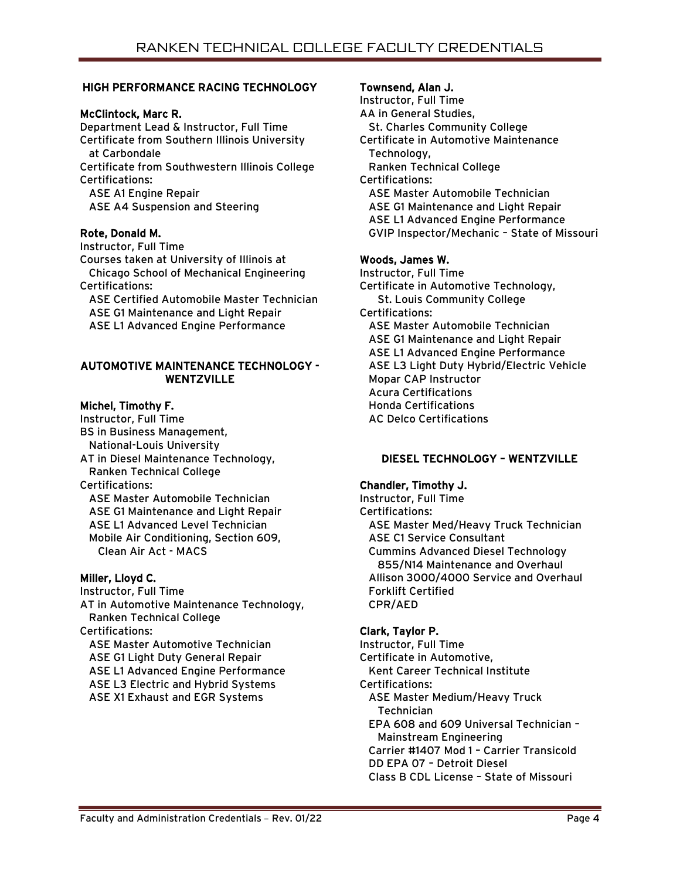# HIGH PERFORMANCE RACING TECHNOLOGY

### McClintock, Marc R.

Department Lead & Instructor, Full Time Certificate from Southern Illinois University at Carbondale Certificate from Southwestern Illinois College Certifications: ASE A1 Engine Repair ASE A4 Suspension and Steering

### Rote, Donald M.

Instructor, Full Time Courses taken at University of Illinois at Chicago School of Mechanical Engineering Certifications:

 ASE Certified Automobile Master Technician ASE G1 Maintenance and Light Repair ASE L1 Advanced Engine Performance

### AUTOMOTIVE MAINTENANCE TECHNOLOGY - **WENTZVILLE**

# Michel, Timothy F.

Instructor, Full Time BS in Business Management, National-Louis University AT in Diesel Maintenance Technology, Ranken Technical College Certifications: ASE Master Automobile Technician

 ASE G1 Maintenance and Light Repair ASE L1 Advanced Level Technician Mobile Air Conditioning, Section 609, Clean Air Act - MACS

# Miller, Lloyd C.

Instructor, Full Time AT in Automotive Maintenance Technology, Ranken Technical College Certifications: ASE Master Automotive Technician ASE G1 Light Duty General Repair ASE L1 Advanced Engine Performance ASE L3 Electric and Hybrid Systems ASE X1 Exhaust and EGR Systems

# Townsend, Alan J.

Instructor, Full Time AA in General Studies, St. Charles Community College Certificate in Automotive Maintenance Technology, Ranken Technical College Certifications: ASE Master Automobile Technician ASE G1 Maintenance and Light Repair ASE L1 Advanced Engine Performance GVIP Inspector/Mechanic – State of Missouri

# Woods, James W.

Instructor, Full Time Certificate in Automotive Technology, St. Louis Community College Certifications: ASE Master Automobile Technician ASE G1 Maintenance and Light Repair ASE L1 Advanced Engine Performance ASE L3 Light Duty Hybrid/Electric Vehicle Mopar CAP Instructor Acura Certifications Honda Certifications AC Delco Certifications

# DIESEL TECHNOLOGY – WENTZVILLE

# Chandler, Timothy J.

Instructor, Full Time Certifications: ASE Master Med/Heavy Truck Technician ASE C1 Service Consultant Cummins Advanced Diesel Technology 855/N14 Maintenance and Overhaul Allison 3000/4000 Service and Overhaul Forklift Certified CPR/AED

### Clark, Taylor P.

Instructor, Full Time Certificate in Automotive, Kent Career Technical Institute Certifications: ASE Master Medium/Heavy Truck **Technician**  EPA 608 and 609 Universal Technician – Mainstream Engineering Carrier #1407 Mod 1 – Carrier Transicold DD EPA 07 – Detroit Diesel Class B CDL License – State of Missouri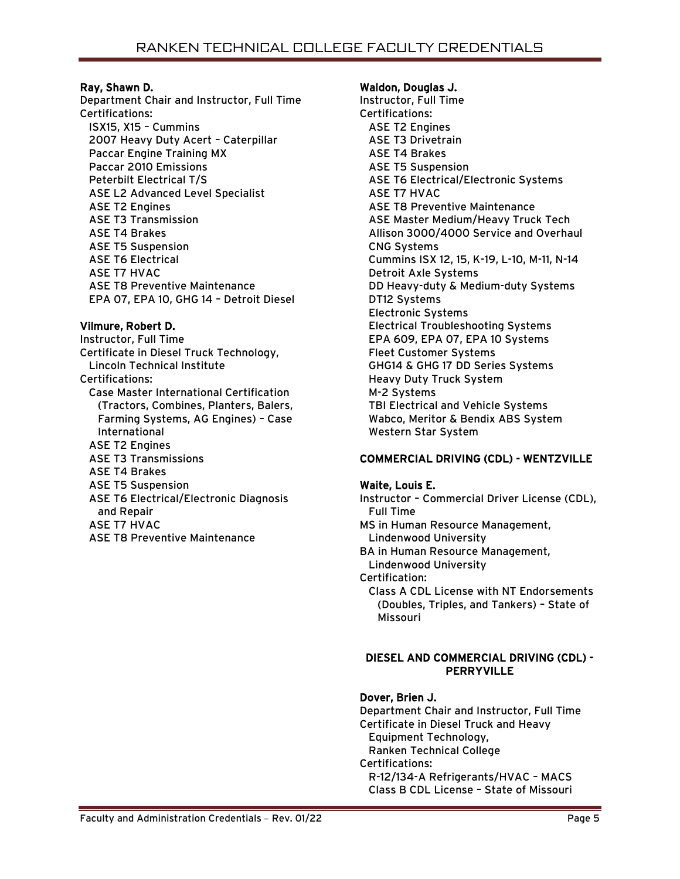### Ray, Shawn D.

Department Chair and Instructor, Full Time Certifications: ISX15, X15 – Cummins 2007 Heavy Duty Acert – Caterpillar Paccar Engine Training MX Paccar 2010 Emissions Peterbilt Electrical T/S ASE L2 Advanced Level Specialist ASE T2 Engines ASE T3 Transmission ASE T4 Brakes ASE T5 Suspension ASE T6 Electrical ASE T7 HVAC ASE T8 Preventive Maintenance EPA 07, EPA 10, GHG 14 – Detroit Diesel

### Vilmure, Robert D.

Instructor, Full Time Certificate in Diesel Truck Technology, Lincoln Technical Institute Certifications: Case Master International Certification (Tractors, Combines, Planters, Balers, Farming Systems, AG Engines) – Case International ASE T2 Engines ASE T3 Transmissions ASE T4 Brakes ASE T5 Suspension ASE T6 Electrical/Electronic Diagnosis and Repair ASE T7 HVAC ASE T8 Preventive Maintenance

#### Waldon, Douglas J.

Instructor, Full Time Certifications: ASE T2 Engines ASE T3 Drivetrain ASE T4 Brakes ASE T5 Suspension ASE T6 Electrical/Electronic Systems ASE T7 HVAC ASE T8 Preventive Maintenance ASE Master Medium/Heavy Truck Tech Allison 3000/4000 Service and Overhaul CNG Systems Cummins ISX 12, 15, K-19, L-10, M-11, N-14 Detroit Axle Systems DD Heavy-duty & Medium-duty Systems DT12 Systems Electronic Systems Electrical Troubleshooting Systems EPA 609, EPA 07, EPA 10 Systems Fleet Customer Systems GHG14 & GHG 17 DD Series Systems Heavy Duty Truck System M-2 Systems TBI Electrical and Vehicle Systems Wabco, Meritor & Bendix ABS System Western Star System

### COMMERCIAL DRIVING (CDL) - WENTZVILLE

#### Waite, Louis E. Instructor – Commercial Driver License (CDL),

 Full Time MS in Human Resource Management, Lindenwood University BA in Human Resource Management, Lindenwood University Certification: Class A CDL License with NT Endorsements (Doubles, Triples, and Tankers) – State of Missouri

#### DIESEL AND COMMERCIAL DRIVING (CDL) - PERRYVILLE

### Dover, Brien J.

Department Chair and Instructor, Full Time Certificate in Diesel Truck and Heavy Equipment Technology, Ranken Technical College Certifications: R-12/134-A Refrigerants/HVAC – MACS Class B CDL License – State of Missouri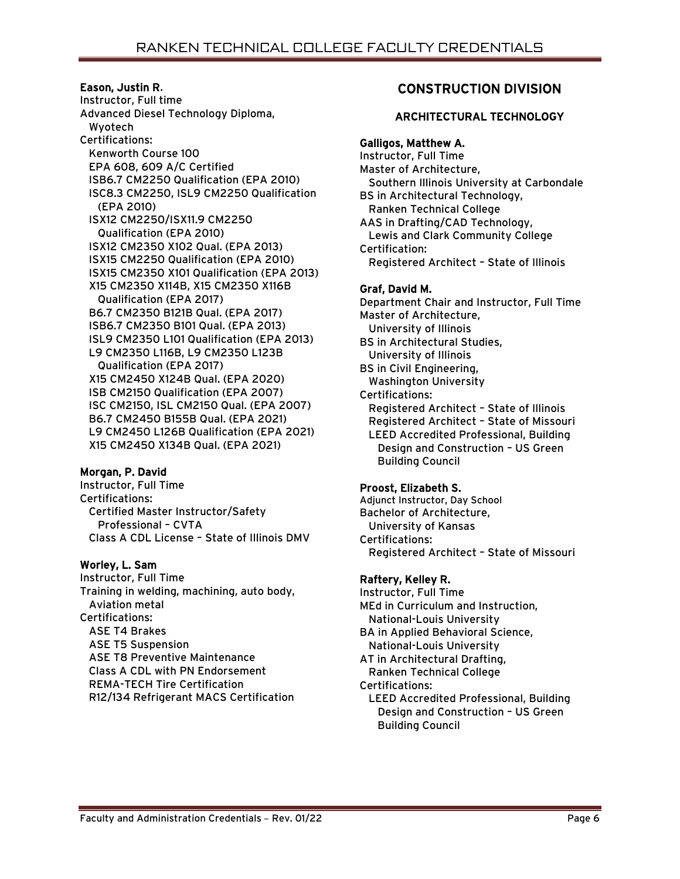### Eason, Justin R.

Instructor, Full time Advanced Diesel Technology Diploma, Wyotech Certifications: Kenworth Course 100 EPA 608, 609 A/C Certified ISB6.7 CM2250 Qualification (EPA 2010) ISC8.3 CM2250, ISL9 CM2250 Qualification (EPA 2010) ISX12 CM2250/ISX11.9 CM2250 Qualification (EPA 2010) ISX12 CM2350 X102 Qual. (EPA 2013) ISX15 CM2250 Qualification (EPA 2010) ISX15 CM2350 X101 Qualification (EPA 2013) X15 CM2350 X114B, X15 CM2350 X116B Qualification (EPA 2017) B6.7 CM2350 B121B Qual. (EPA 2017) ISB6.7 CM2350 B101 Qual. (EPA 2013) ISL9 CM2350 L101 Qualification (EPA 2013) L9 CM2350 L116B, L9 CM2350 L123B Qualification (EPA 2017) X15 CM2450 X124B Qual. (EPA 2020) ISB CM2150 Qualification (EPA 2007) ISC CM2150, ISL CM2150 Qual. (EPA 2007) B6.7 CM2450 B155B Qual. (EPA 2021) L9 CM2450 L126B Qualification (EPA 2021) X15 CM2450 X134B Qual. (EPA 2021)

# Morgan, P. David

Instructor, Full Time Certifications: Certified Master Instructor/Safety Professional – CVTA Class A CDL License – State of Illinois DMV

# Worley, L. Sam

Instructor, Full Time Training in welding, machining, auto body, Aviation metal Certifications: ASE T4 Brakes ASE T5 Suspension ASE T8 Preventive Maintenance Class A CDL with PN Endorsement REMA-TECH Tire Certification R12/134 Refrigerant MACS Certification

# CONSTRUCTION DIVISION

# ARCHITECTURAL TECHNOLOGY

# Galligos, Matthew A.

Instructor, Full Time Master of Architecture, Southern Illinois University at Carbondale BS in Architectural Technology, Ranken Technical College AAS in Drafting/CAD Technology, Lewis and Clark Community College Certification: Registered Architect – State of Illinois

# Graf, David M.

Department Chair and Instructor, Full Time Master of Architecture, University of Illinois BS in Architectural Studies, University of Illinois BS in Civil Engineering, Washington University Certifications: Registered Architect – State of Illinois Registered Architect – State of Missouri LEED Accredited Professional, Building Design and Construction – US Green Building Council

### Proost, Elizabeth S.

Adjunct Instructor, Day School Bachelor of Architecture, University of Kansas Certifications: Registered Architect – State of Missouri

# Raftery, Kelley R.

Instructor, Full Time MEd in Curriculum and Instruction, National-Louis University BA in Applied Behavioral Science, National-Louis University AT in Architectural Drafting, Ranken Technical College Certifications: LEED Accredited Professional, Building Design and Construction – US Green Building Council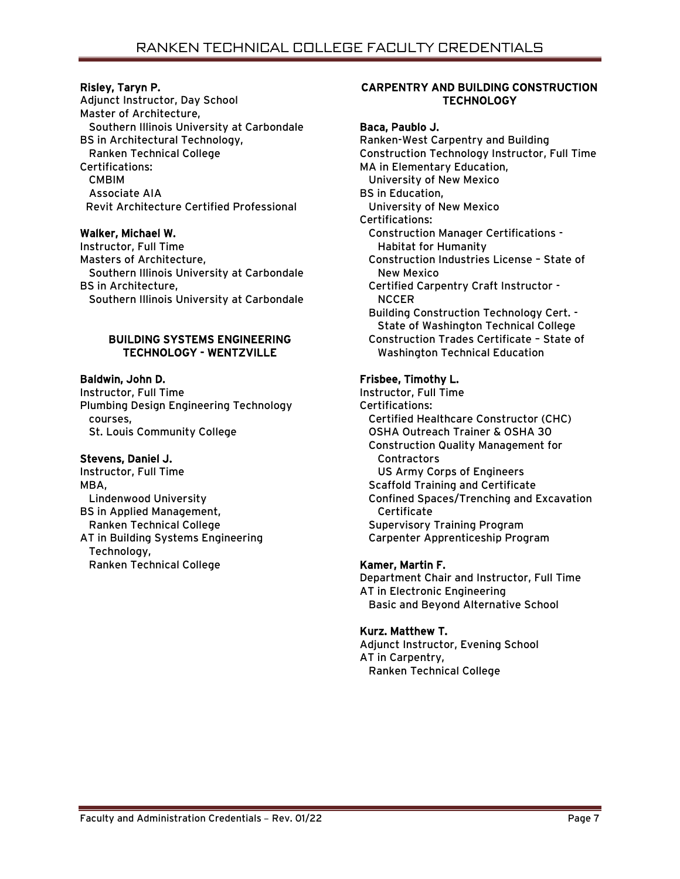# Risley, Taryn P.

Adjunct Instructor, Day School Master of Architecture, Southern Illinois University at Carbondale BS in Architectural Technology, Ranken Technical College Certifications: CMBIM Associate AIA Revit Architecture Certified Professional

### Walker, Michael W.

Instructor, Full Time Masters of Architecture, Southern Illinois University at Carbondale BS in Architecture, Southern Illinois University at Carbondale

### BUILDING SYSTEMS ENGINEERING TECHNOLOGY - WENTZVILLE

# Baldwin, John D.

Instructor, Full Time Plumbing Design Engineering Technology courses, St. Louis Community College

# Stevens, Daniel J.

Instructor, Full Time MBA, Lindenwood University BS in Applied Management, Ranken Technical College AT in Building Systems Engineering Technology, Ranken Technical College

# CARPENTRY AND BUILDING CONSTRUCTION **TECHNOLOGY**

# Baca, Paublo J.

Ranken-West Carpentry and Building Construction Technology Instructor, Full Time MA in Elementary Education, University of New Mexico BS in Education, University of New Mexico Certifications: Construction Manager Certifications - Habitat for Humanity Construction Industries License – State of New Mexico Certified Carpentry Craft Instructor - **NCCER**  Building Construction Technology Cert. - State of Washington Technical College Construction Trades Certificate – State of Washington Technical Education

# Frisbee, Timothy L.

Instructor, Full Time Certifications: Certified Healthcare Constructor (CHC) OSHA Outreach Trainer & OSHA 30 Construction Quality Management for **Contractors**  US Army Corps of Engineers Scaffold Training and Certificate Confined Spaces/Trenching and Excavation Certificate Supervisory Training Program Carpenter Apprenticeship Program

# Kamer, Martin F.

Department Chair and Instructor, Full Time AT in Electronic Engineering Basic and Beyond Alternative School

# Kurz. Matthew T.

Adjunct Instructor, Evening School AT in Carpentry, Ranken Technical College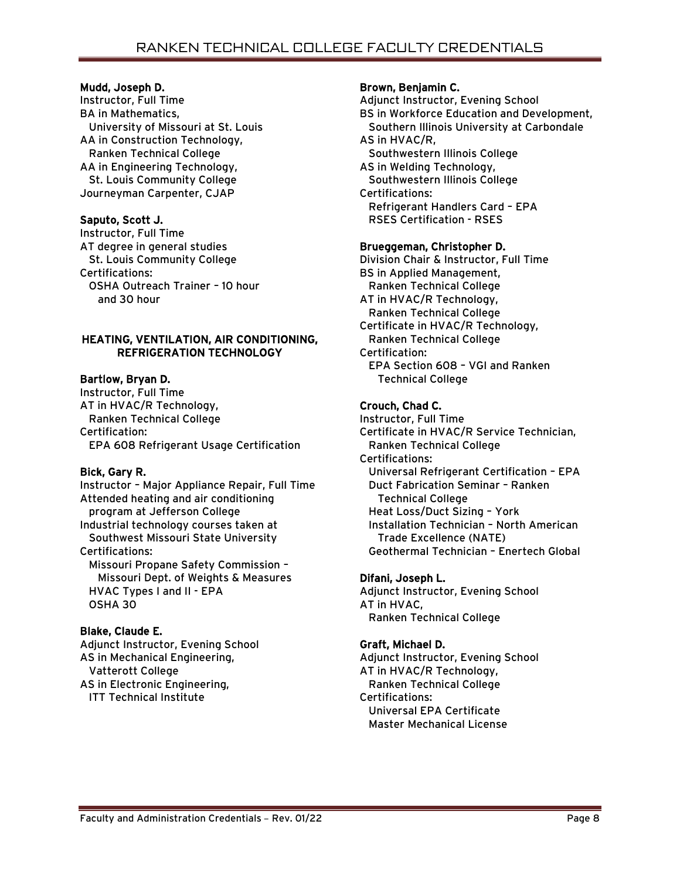### Mudd, Joseph D.

Instructor, Full Time BA in Mathematics, University of Missouri at St. Louis AA in Construction Technology, Ranken Technical College AA in Engineering Technology, St. Louis Community College Journeyman Carpenter, CJAP

# Saputo, Scott J.

Instructor, Full Time AT degree in general studies St. Louis Community College Certifications: OSHA Outreach Trainer – 10 hour and 30 hour

# HEATING, VENTILATION, AIR CONDITIONING, REFRIGERATION TECHNOLOGY

# Bartlow, Bryan D.

Instructor, Full Time AT in HVAC/R Technology, Ranken Technical College Certification: EPA 608 Refrigerant Usage Certification

# Bick, Gary R.

Instructor – Major Appliance Repair, Full Time Attended heating and air conditioning program at Jefferson College Industrial technology courses taken at Southwest Missouri State University Certifications: Missouri Propane Safety Commission – Missouri Dept. of Weights & Measures HVAC Types I and II - EPA OSHA 30

# Blake, Claude E.

Adjunct Instructor, Evening School AS in Mechanical Engineering, Vatterott College AS in Electronic Engineering, ITT Technical Institute

# Brown, Benjamin C.

Adjunct Instructor, Evening School BS in Workforce Education and Development, Southern Illinois University at Carbondale AS in HVAC/R, Southwestern Illinois College AS in Welding Technology, Southwestern Illinois College Certifications: Refrigerant Handlers Card – EPA RSES Certification - RSES

# Brueggeman, Christopher D.

Division Chair & Instructor, Full Time BS in Applied Management, Ranken Technical College AT in HVAC/R Technology, Ranken Technical College Certificate in HVAC/R Technology, Ranken Technical College Certification: EPA Section 608 – VGI and Ranken Technical College

# Crouch, Chad C.

Instructor, Full Time Certificate in HVAC/R Service Technician, Ranken Technical College Certifications: Universal Refrigerant Certification – EPA Duct Fabrication Seminar – Ranken Technical College Heat Loss/Duct Sizing – York Installation Technician – North American Trade Excellence (NATE) Geothermal Technician – Enertech Global

# Difani, Joseph L.

Adjunct Instructor, Evening School AT in HVAC, Ranken Technical College

# Graft, Michael D.

Adjunct Instructor, Evening School AT in HVAC/R Technology, Ranken Technical College Certifications: Universal EPA Certificate Master Mechanical License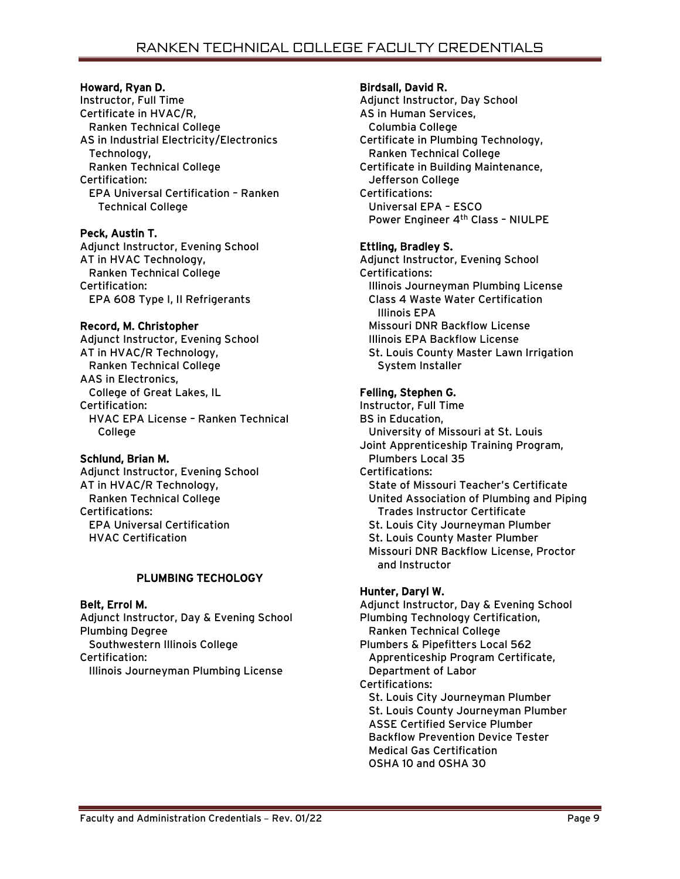# Howard, Ryan D.

Instructor, Full Time Certificate in HVAC/R, Ranken Technical College AS in Industrial Electricity/Electronics Technology, Ranken Technical College Certification: EPA Universal Certification – Ranken Technical College

# Peck, Austin T.

Adjunct Instructor, Evening School AT in HVAC Technology, Ranken Technical College Certification: EPA 608 Type I, II Refrigerants

# Record, M. Christopher

Adjunct Instructor, Evening School AT in HVAC/R Technology, Ranken Technical College AAS in Electronics, College of Great Lakes, IL Certification: HVAC EPA License – Ranken Technical College

### Schlund, Brian M.

Adjunct Instructor, Evening School AT in HVAC/R Technology, Ranken Technical College Certifications: EPA Universal Certification HVAC Certification

# PLUMBING TECHOLOGY

# Belt, Errol M.

Adjunct Instructor, Day & Evening School Plumbing Degree Southwestern Illinois College Certification: Illinois Journeyman Plumbing License

### Birdsall, David R.

Adjunct Instructor, Day School AS in Human Services, Columbia College Certificate in Plumbing Technology, Ranken Technical College Certificate in Building Maintenance, Jefferson College Certifications: Universal EPA – ESCO Power Engineer 4<sup>th</sup> Class - NIULPE

# Ettling, Bradley S.

Adjunct Instructor, Evening School Certifications: Illinois Journeyman Plumbing License Class 4 Waste Water Certification Illinois EPA Missouri DNR Backflow License Illinois EPA Backflow License St. Louis County Master Lawn Irrigation System Installer

# Felling, Stephen G.

Instructor, Full Time BS in Education, University of Missouri at St. Louis Joint Apprenticeship Training Program, Plumbers Local 35 Certifications: State of Missouri Teacher's Certificate United Association of Plumbing and Piping Trades Instructor Certificate St. Louis City Journeyman Plumber St. Louis County Master Plumber Missouri DNR Backflow License, Proctor and Instructor

# Hunter, Daryl W.

Adjunct Instructor, Day & Evening School Plumbing Technology Certification, Ranken Technical College Plumbers & Pipefitters Local 562 Apprenticeship Program Certificate, Department of Labor Certifications: St. Louis City Journeyman Plumber St. Louis County Journeyman Plumber ASSE Certified Service Plumber Backflow Prevention Device Tester Medical Gas Certification OSHA 10 and OSHA 30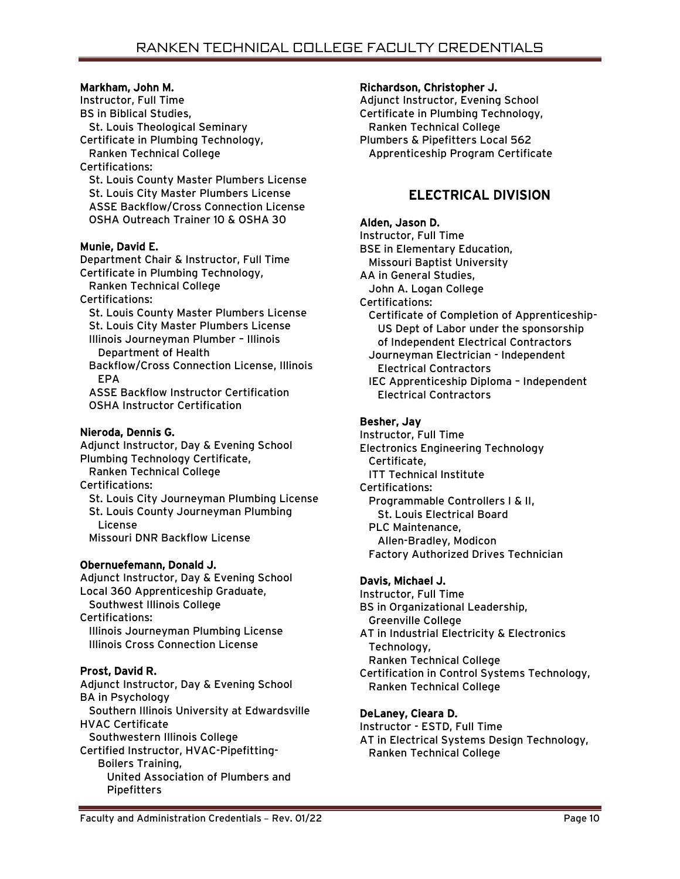# Markham, John M.

Instructor, Full Time BS in Biblical Studies, St. Louis Theological Seminary Certificate in Plumbing Technology, Ranken Technical College Certifications: St. Louis County Master Plumbers License St. Louis City Master Plumbers License ASSE Backflow/Cross Connection License OSHA Outreach Trainer 10 & OSHA 30

# Munie, David E.

Department Chair & Instructor, Full Time Certificate in Plumbing Technology, Ranken Technical College

Certifications:

 St. Louis County Master Plumbers License St. Louis City Master Plumbers License Illinois Journeyman Plumber – Illinois Department of Health

 Backflow/Cross Connection License, Illinois EPA

 ASSE Backflow Instructor Certification OSHA Instructor Certification

# Nieroda, Dennis G.

Adjunct Instructor, Day & Evening School Plumbing Technology Certificate, Ranken Technical College Certifications: St. Louis City Journeyman Plumbing License St. Louis County Journeyman Plumbing License Missouri DNR Backflow License

# Obernuefemann, Donald J.

Adjunct Instructor, Day & Evening School Local 360 Apprenticeship Graduate, Southwest Illinois College

Certifications: Illinois Journeyman Plumbing License Illinois Cross Connection License

# Prost, David R.

Adjunct Instructor, Day & Evening School BA in Psychology Southern Illinois University at Edwardsville HVAC Certificate Southwestern Illinois College Certified Instructor, HVAC-Pipefitting- Boilers Training, United Association of Plumbers and **Pipefitters** 

### Richardson, Christopher J.

Adjunct Instructor, Evening School Certificate in Plumbing Technology, Ranken Technical College Plumbers & Pipefitters Local 562 Apprenticeship Program Certificate

# ELECTRICAL DIVISION

# Alden, Jason D.

Instructor, Full Time BSE in Elementary Education, Missouri Baptist University AA in General Studies, John A. Logan College Certifications: Certificate of Completion of Apprenticeship- US Dept of Labor under the sponsorship of Independent Electrical Contractors Journeyman Electrician - Independent Electrical Contractors IEC Apprenticeship Diploma – Independent Electrical Contractors

# Besher, Jay

Instructor, Full Time Electronics Engineering Technology Certificate, ITT Technical Institute Certifications: Programmable Controllers I & II, St. Louis Electrical Board PLC Maintenance, Allen-Bradley, Modicon Factory Authorized Drives Technician

# Davis, Michael J.

Instructor, Full Time BS in Organizational Leadership, Greenville College AT in Industrial Electricity & Electronics Technology, Ranken Technical College Certification in Control Systems Technology, Ranken Technical College

# DeLaney, Cieara D.

Instructor - ESTD, Full Time AT in Electrical Systems Design Technology, Ranken Technical College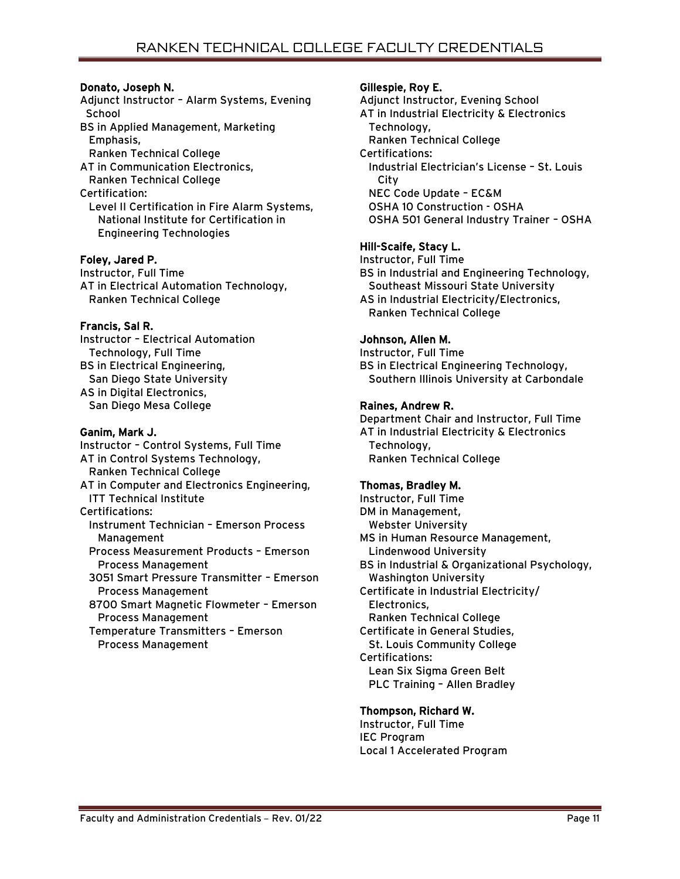# Donato, Joseph N.

Adjunct Instructor – Alarm Systems, Evening **School** BS in Applied Management, Marketing Emphasis, Ranken Technical College AT in Communication Electronics, Ranken Technical College Certification: Level II Certification in Fire Alarm Systems, National Institute for Certification in Engineering Technologies

# Foley, Jared P.

Instructor, Full Time AT in Electrical Automation Technology, Ranken Technical College

# Francis, Sal R.

Instructor – Electrical Automation Technology, Full Time BS in Electrical Engineering, San Diego State University AS in Digital Electronics, San Diego Mesa College

### Ganim, Mark J.

Instructor – Control Systems, Full Time AT in Control Systems Technology, Ranken Technical College AT in Computer and Electronics Engineering, ITT Technical Institute Certifications: Instrument Technician – Emerson Process Management Process Measurement Products – Emerson Process Management 3051 Smart Pressure Transmitter – Emerson Process Management 8700 Smart Magnetic Flowmeter – Emerson Process Management Temperature Transmitters – Emerson

Process Management

# Gillespie, Roy E.

Adjunct Instructor, Evening School AT in Industrial Electricity & Electronics Technology, Ranken Technical College Certifications: Industrial Electrician's License – St. Louis **City**  NEC Code Update – EC&M OSHA 10 Construction - OSHA OSHA 501 General Industry Trainer – OSHA

# Hill-Scaife, Stacy L.

Instructor, Full Time BS in Industrial and Engineering Technology, Southeast Missouri State University AS in Industrial Electricity/Electronics, Ranken Technical College

# Johnson, Allen M.

Instructor, Full Time BS in Electrical Engineering Technology, Southern Illinois University at Carbondale

# Raines, Andrew R.

Department Chair and Instructor, Full Time AT in Industrial Electricity & Electronics Technology, Ranken Technical College

# Thomas, Bradley M.

Instructor, Full Time DM in Management, Webster University MS in Human Resource Management, Lindenwood University BS in Industrial & Organizational Psychology, Washington University Certificate in Industrial Electricity/ Electronics, Ranken Technical College Certificate in General Studies, St. Louis Community College Certifications: Lean Six Sigma Green Belt PLC Training – Allen Bradley Thompson, Richard W.

Instructor, Full Time IEC Program Local 1 Accelerated Program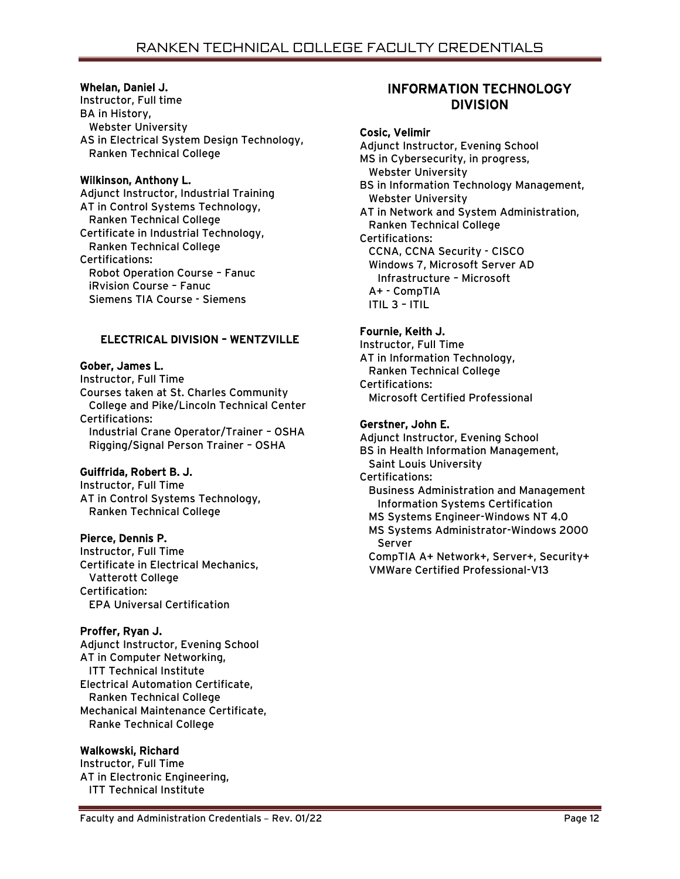### Whelan, Daniel J.

Instructor, Full time BA in History, Webster University AS in Electrical System Design Technology, Ranken Technical College

# Wilkinson, Anthony L.

Adjunct Instructor, Industrial Training AT in Control Systems Technology, Ranken Technical College Certificate in Industrial Technology, Ranken Technical College Certifications: Robot Operation Course – Fanuc iRvision Course – Fanuc Siemens TIA Course - Siemens

# ELECTRICAL DIVISION – WENTZVILLE

# Gober, James L.

Instructor, Full Time Courses taken at St. Charles Community College and Pike/Lincoln Technical Center Certifications: Industrial Crane Operator/Trainer – OSHA Rigging/Signal Person Trainer – OSHA

# Guiffrida, Robert B. J.

Instructor, Full Time AT in Control Systems Technology, Ranken Technical College

### Pierce, Dennis P.

Instructor, Full Time Certificate in Electrical Mechanics, Vatterott College Certification: EPA Universal Certification

# Proffer, Ryan J.

Adjunct Instructor, Evening School AT in Computer Networking, ITT Technical Institute Electrical Automation Certificate, Ranken Technical College Mechanical Maintenance Certificate, Ranke Technical College

# Walkowski, Richard

Instructor, Full Time AT in Electronic Engineering, ITT Technical Institute

# INFORMATION TECHNOLOGY DIVISION

### Cosic, Velimir

Adjunct Instructor, Evening School MS in Cybersecurity, in progress, Webster University BS in Information Technology Management, Webster University AT in Network and System Administration, Ranken Technical College Certifications: CCNA, CCNA Security - CISCO Windows 7, Microsoft Server AD Infrastructure – Microsoft A+ - CompTIA ITIL 3 – ITIL

# Fournie, Keith J.

Instructor, Full Time AT in Information Technology, Ranken Technical College Certifications: Microsoft Certified Professional

# Gerstner, John E.

Adjunct Instructor, Evening School BS in Health Information Management, Saint Louis University Certifications: Business Administration and Management Information Systems Certification MS Systems Engineer-Windows NT 4.0 MS Systems Administrator-Windows 2000 Server CompTIA A+ Network+, Server+, Security+ VMWare Certified Professional-V13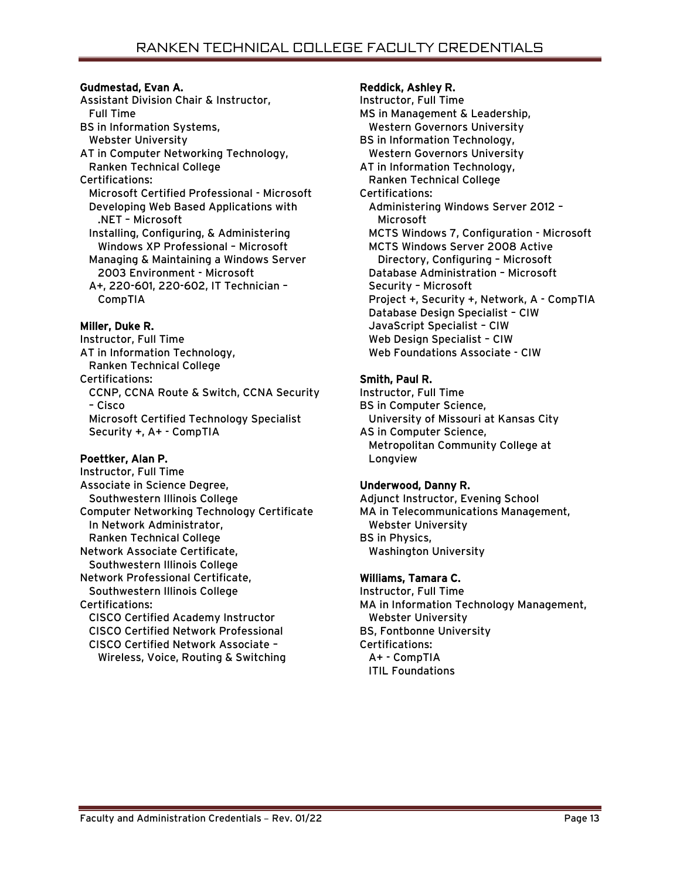# Gudmestad, Evan A.

Assistant Division Chair & Instructor, Full Time BS in Information Systems, Webster University AT in Computer Networking Technology, Ranken Technical College Certifications: Microsoft Certified Professional - Microsoft Developing Web Based Applications with .NET – Microsoft Installing, Configuring, & Administering Windows XP Professional – Microsoft Managing & Maintaining a Windows Server 2003 Environment - Microsoft A+, 220-601, 220-602, IT Technician – CompTIA

# Miller, Duke R.

Instructor, Full Time AT in Information Technology, Ranken Technical College Certifications: CCNP, CCNA Route & Switch, CCNA Security – Cisco Microsoft Certified Technology Specialist Security +, A+ - CompTIA

### Poettker, Alan P.

Instructor, Full Time Associate in Science Degree, Southwestern Illinois College Computer Networking Technology Certificate In Network Administrator, Ranken Technical College Network Associate Certificate, Southwestern Illinois College Network Professional Certificate, Southwestern Illinois College Certifications: CISCO Certified Academy Instructor CISCO Certified Network Professional CISCO Certified Network Associate – Wireless, Voice, Routing & Switching

# Reddick, Ashley R.

Instructor, Full Time MS in Management & Leadership, Western Governors University BS in Information Technology, Western Governors University AT in Information Technology, Ranken Technical College Certifications: Administering Windows Server 2012 – Microsoft MCTS Windows 7, Configuration - Microsoft MCTS Windows Server 2008 Active Directory, Configuring – Microsoft Database Administration – Microsoft Security – Microsoft Project +, Security +, Network, A - CompTIA Database Design Specialist – CIW JavaScript Specialist – CIW Web Design Specialist – CIW Web Foundations Associate - CIW

# Smith, Paul R.

Instructor, Full Time BS in Computer Science, University of Missouri at Kansas City AS in Computer Science, Metropolitan Community College at Longview

# Underwood, Danny R.

Adjunct Instructor, Evening School MA in Telecommunications Management, Webster University BS in Physics, Washington University

# Williams, Tamara C.

Instructor, Full Time MA in Information Technology Management, Webster University BS, Fontbonne University Certifications: A+ - CompTIA ITIL Foundations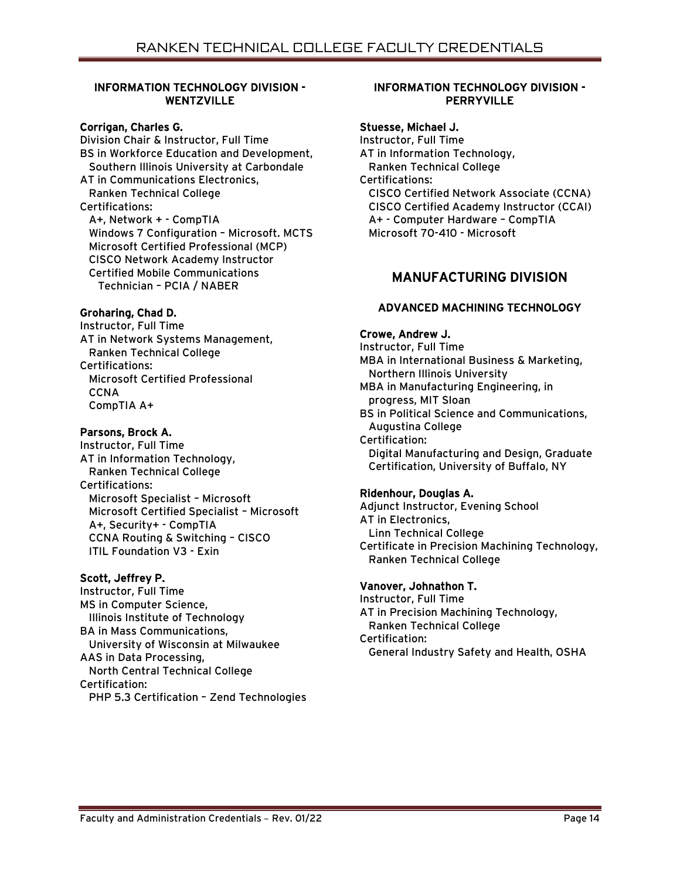# INFORMATION TECHNOLOGY DIVISION - WENTZVILLE

### Corrigan, Charles G.

Division Chair & Instructor, Full Time BS in Workforce Education and Development, Southern Illinois University at Carbondale AT in Communications Electronics, Ranken Technical College Certifications: A+, Network + - CompTIA Windows 7 Configuration – Microsoft. MCTS Microsoft Certified Professional (MCP) CISCO Network Academy Instructor Certified Mobile Communications Technician – PCIA / NABER

### Groharing, Chad D.

Instructor, Full Time AT in Network Systems Management, Ranken Technical College Certifications: Microsoft Certified Professional **CCNA** CompTIA A+

### Parsons, Brock A.

Instructor, Full Time AT in Information Technology, Ranken Technical College Certifications: Microsoft Specialist – Microsoft Microsoft Certified Specialist – Microsoft A+, Security+ - CompTIA CCNA Routing & Switching – CISCO ITIL Foundation V3 - Exin

### Scott, Jeffrey P.

Instructor, Full Time MS in Computer Science, Illinois Institute of Technology BA in Mass Communications, University of Wisconsin at Milwaukee AAS in Data Processing, North Central Technical College Certification: PHP 5.3 Certification – Zend Technologies

### INFORMATION TECHNOLOGY DIVISION - **PERRYVILLE**

#### Stuesse, Michael J.

Instructor, Full Time AT in Information Technology, Ranken Technical College Certifications: CISCO Certified Network Associate (CCNA) CISCO Certified Academy Instructor (CCAI) A+ - Computer Hardware – CompTIA Microsoft 70-410 - Microsoft

# MANUFACTURING DIVISION

# ADVANCED MACHINING TECHNOLOGY

#### Crowe, Andrew J.

Instructor, Full Time MBA in International Business & Marketing, Northern Illinois University MBA in Manufacturing Engineering, in progress, MIT Sloan BS in Political Science and Communications, Augustina College Certification: Digital Manufacturing and Design, Graduate Certification, University of Buffalo, NY

### Ridenhour, Douglas A.

Adjunct Instructor, Evening School AT in Electronics, Linn Technical College Certificate in Precision Machining Technology, Ranken Technical College

### Vanover, Johnathon T.

Instructor, Full Time AT in Precision Machining Technology, Ranken Technical College Certification: General Industry Safety and Health, OSHA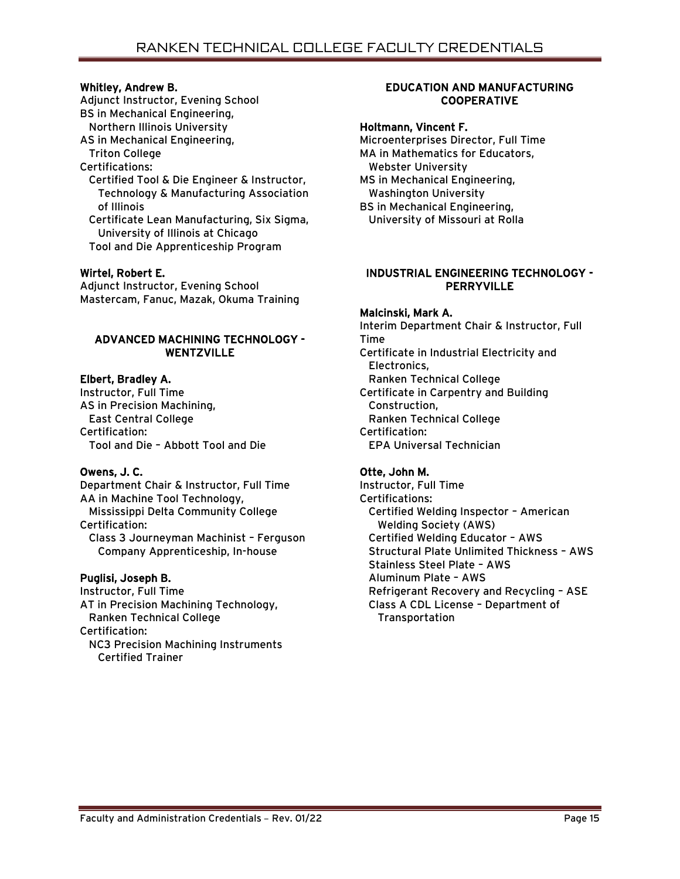### Whitley, Andrew B.

Adjunct Instructor, Evening School BS in Mechanical Engineering, Northern Illinois University AS in Mechanical Engineering, Triton College

Certifications:

 Certified Tool & Die Engineer & Instructor, Technology & Manufacturing Association of Illinois

 Certificate Lean Manufacturing, Six Sigma, University of Illinois at Chicago Tool and Die Apprenticeship Program

#### Wirtel, Robert E.

Adjunct Instructor, Evening School Mastercam, Fanuc, Mazak, Okuma Training

### ADVANCED MACHINING TECHNOLOGY - WENTZVILLE

### Elbert, Bradley A.

Instructor, Full Time AS in Precision Machining, East Central College Certification: Tool and Die – Abbott Tool and Die

### Owens, J. C.

Department Chair & Instructor, Full Time AA in Machine Tool Technology, Mississippi Delta Community College Certification: Class 3 Journeyman Machinist – Ferguson Company Apprenticeship, In-house

### Puglisi, Joseph B.

Instructor, Full Time AT in Precision Machining Technology, Ranken Technical College Certification: NC3 Precision Machining Instruments Certified Trainer

### EDUCATION AND MANUFACTURING **COOPERATIVE**

# Holtmann, Vincent F.

Microenterprises Director, Full Time MA in Mathematics for Educators, Webster University MS in Mechanical Engineering, Washington University BS in Mechanical Engineering, University of Missouri at Rolla

### INDUSTRIAL ENGINEERING TECHNOLOGY - PERRYVILLE

#### Malcinski, Mark A.

Interim Department Chair & Instructor, Full Time Certificate in Industrial Electricity and Electronics, Ranken Technical College Certificate in Carpentry and Building Construction, Ranken Technical College Certification: EPA Universal Technician

### Otte, John M.

Instructor, Full Time Certifications: Certified Welding Inspector – American Welding Society (AWS) Certified Welding Educator – AWS Structural Plate Unlimited Thickness – AWS Stainless Steel Plate – AWS Aluminum Plate – AWS Refrigerant Recovery and Recycling – ASE Class A CDL License – Department of Transportation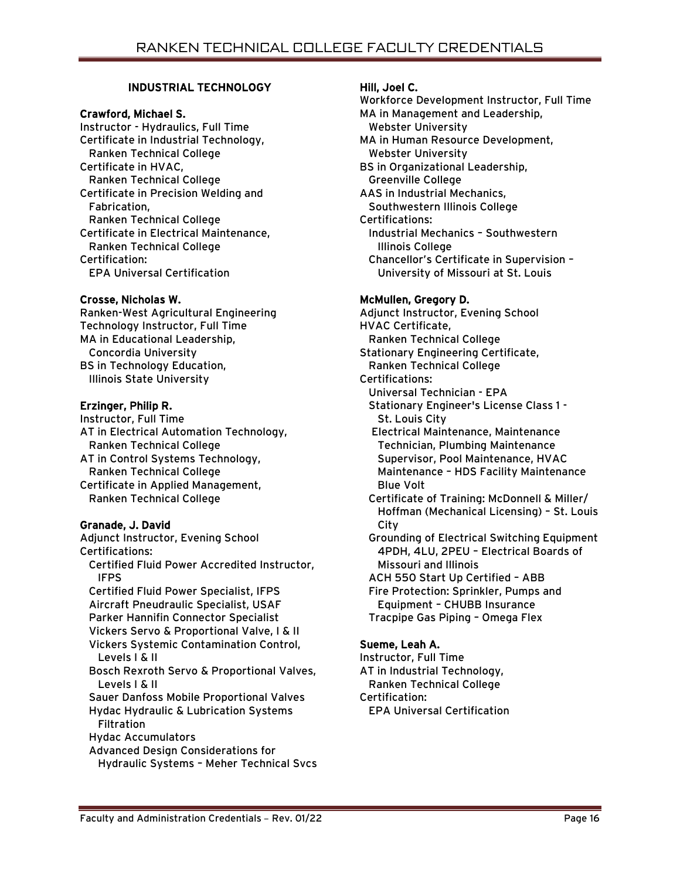# INDUSTRIAL TECHNOLOGY

### Crawford, Michael S.

Instructor - Hydraulics, Full Time Certificate in Industrial Technology, Ranken Technical College Certificate in HVAC, Ranken Technical College Certificate in Precision Welding and Fabrication, Ranken Technical College Certificate in Electrical Maintenance, Ranken Technical College Certification: EPA Universal Certification

# Crosse, Nicholas W.

Ranken-West Agricultural Engineering Technology Instructor, Full Time MA in Educational Leadership, Concordia University BS in Technology Education, Illinois State University

# Erzinger, Philip R.

Instructor, Full Time AT in Electrical Automation Technology, Ranken Technical College AT in Control Systems Technology, Ranken Technical College Certificate in Applied Management, Ranken Technical College

# Granade, J. David

Adjunct Instructor, Evening School Certifications: Certified Fluid Power Accredited Instructor, IFPS Certified Fluid Power Specialist, IFPS Aircraft Pneudraulic Specialist, USAF Parker Hannifin Connector Specialist Vickers Servo & Proportional Valve, I & II Vickers Systemic Contamination Control, Levels I & II Bosch Rexroth Servo & Proportional Valves, Levels I & II Sauer Danfoss Mobile Proportional Valves Hydac Hydraulic & Lubrication Systems **Filtration**  Hydac Accumulators Advanced Design Considerations for Hydraulic Systems – Meher Technical Svcs Hill, Joel C. Workforce Development Instructor, Full Time MA in Management and Leadership, Webster University MA in Human Resource Development, Webster University BS in Organizational Leadership, Greenville College AAS in Industrial Mechanics, Southwestern Illinois College Certifications: Industrial Mechanics – Southwestern Illinois College Chancellor's Certificate in Supervision – University of Missouri at St. Louis McMullen, Gregory D. Adjunct Instructor, Evening School HVAC Certificate, Ranken Technical College Stationary Engineering Certificate, Ranken Technical College Certifications: Universal Technician - EPA Stationary Engineer's License Class 1 - St. Louis City Electrical Maintenance, Maintenance Technician, Plumbing Maintenance Supervisor, Pool Maintenance, HVAC Maintenance – HDS Facility Maintenance Blue Volt

 Certificate of Training: McDonnell & Miller/ Hoffman (Mechanical Licensing) – St. Louis **City** 

 Grounding of Electrical Switching Equipment 4PDH, 4LU, 2PEU – Electrical Boards of Missouri and Illinois ACH 550 Start Up Certified – ABB

 Fire Protection: Sprinkler, Pumps and Equipment – CHUBB Insurance Tracpipe Gas Piping – Omega Flex

# Sueme, Leah A.

Instructor, Full Time AT in Industrial Technology, Ranken Technical College Certification: EPA Universal Certification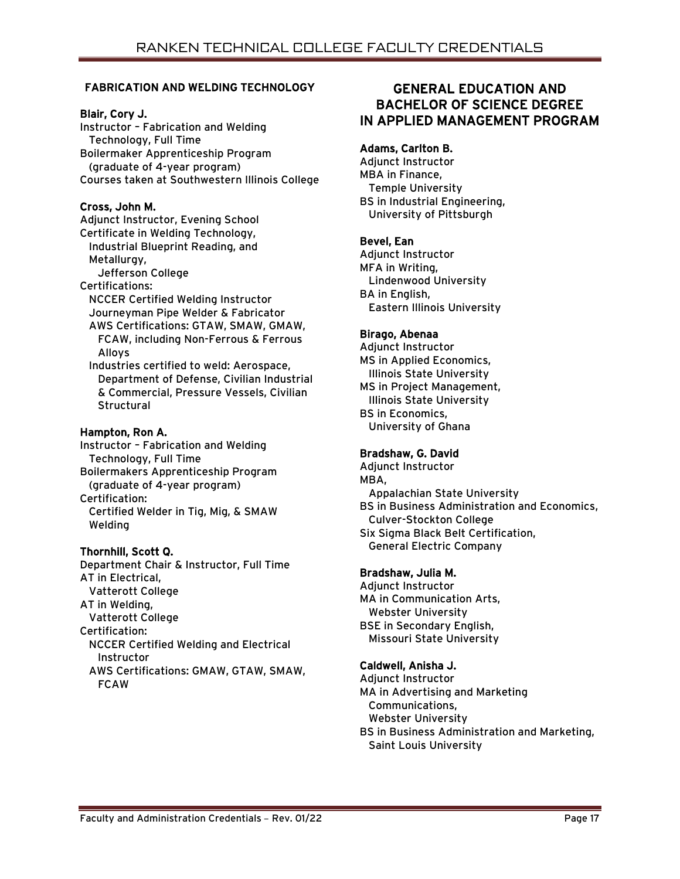# FABRICATION AND WELDING TECHNOLOGY

### Blair, Cory J.

Instructor – Fabrication and Welding Technology, Full Time Boilermaker Apprenticeship Program (graduate of 4-year program) Courses taken at Southwestern Illinois College

# Cross, John M.

Adjunct Instructor, Evening School Certificate in Welding Technology, Industrial Blueprint Reading, and Metallurgy, Jefferson College Certifications: NCCER Certified Welding Instructor Journeyman Pipe Welder & Fabricator AWS Certifications: GTAW, SMAW, GMAW, FCAW, including Non-Ferrous & Ferrous Alloys Industries certified to weld: Aerospace, Department of Defense, Civilian Industrial & Commercial, Pressure Vessels, Civilian **Structural** 

# Hampton, Ron A.

Instructor – Fabrication and Welding Technology, Full Time Boilermakers Apprenticeship Program (graduate of 4-year program) Certification: Certified Welder in Tig, Mig, & SMAW Welding

# Thornhill, Scott Q.

Department Chair & Instructor, Full Time AT in Electrical, Vatterott College AT in Welding, Vatterott College Certification: NCCER Certified Welding and Electrical Instructor AWS Certifications: GMAW, GTAW, SMAW, FCAW

# GENERAL EDUCATION AND BACHELOR OF SCIENCE DEGREE IN APPLIED MANAGEMENT PROGRAM

### Adams, Carlton B.

Adjunct Instructor MBA in Finance, Temple University BS in Industrial Engineering, University of Pittsburgh

# Bevel, Ean

Adjunct Instructor MFA in Writing, Lindenwood University BA in English, Eastern Illinois University

### Birago, Abenaa

Adjunct Instructor MS in Applied Economics, Illinois State University MS in Project Management, Illinois State University BS in Economics, University of Ghana

### Bradshaw, G. David

Adjunct Instructor MBA, Appalachian State University BS in Business Administration and Economics, Culver-Stockton College Six Sigma Black Belt Certification, General Electric Company

### Bradshaw, Julia M.

Adjunct Instructor MA in Communication Arts, Webster University BSE in Secondary English, Missouri State University

# Caldwell, Anisha J.

Adjunct Instructor MA in Advertising and Marketing Communications, Webster University

BS in Business Administration and Marketing, Saint Louis University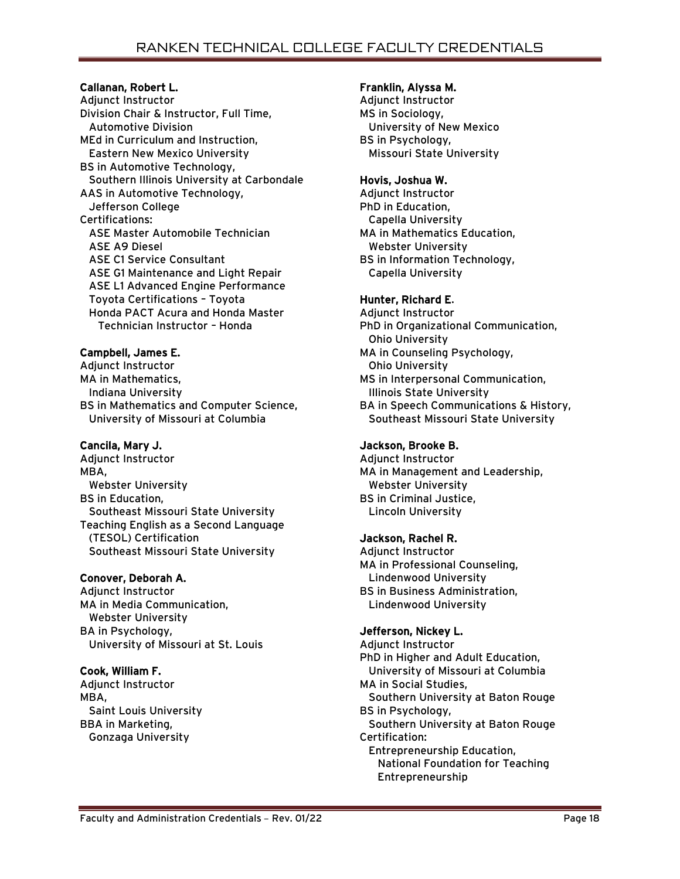# Callanan, Robert L.

Adjunct Instructor Division Chair & Instructor, Full Time, Automotive Division MEd in Curriculum and Instruction, Eastern New Mexico University BS in Automotive Technology, Southern Illinois University at Carbondale AAS in Automotive Technology, Jefferson College Certifications: ASE Master Automobile Technician ASE A9 Diesel ASE C1 Service Consultant ASE G1 Maintenance and Light Repair ASE L1 Advanced Engine Performance Toyota Certifications – Toyota Honda PACT Acura and Honda Master Technician Instructor – Honda

# Campbell, James E.

Adjunct Instructor MA in Mathematics, Indiana University BS in Mathematics and Computer Science, University of Missouri at Columbia

# Cancila, Mary J.

Adjunct Instructor MBA, Webster University BS in Education, Southeast Missouri State University Teaching English as a Second Language (TESOL) Certification Southeast Missouri State University

# Conover, Deborah A.

Adjunct Instructor MA in Media Communication, Webster University BA in Psychology, University of Missouri at St. Louis

# Cook, William F.

Adjunct Instructor MBA, Saint Louis University BBA in Marketing, Gonzaga University

#### Franklin, Alyssa M.

Adjunct Instructor MS in Sociology, University of New Mexico BS in Psychology, Missouri State University

### Hovis, Joshua W.

Adjunct Instructor PhD in Education, Capella University MA in Mathematics Education, Webster University BS in Information Technology, Capella University

# Hunter, Richard E.

Adjunct Instructor PhD in Organizational Communication, Ohio University MA in Counseling Psychology, Ohio University MS in Interpersonal Communication, Illinois State University BA in Speech Communications & History, Southeast Missouri State University

# Jackson, Brooke B.

Adjunct Instructor MA in Management and Leadership, Webster University BS in Criminal Justice, Lincoln University

### Jackson, Rachel R.

Adjunct Instructor MA in Professional Counseling, Lindenwood University BS in Business Administration, Lindenwood University

# Jefferson, Nickey L.

Adjunct Instructor PhD in Higher and Adult Education, University of Missouri at Columbia MA in Social Studies, Southern University at Baton Rouge BS in Psychology, Southern University at Baton Rouge Certification: Entrepreneurship Education, National Foundation for Teaching Entrepreneurship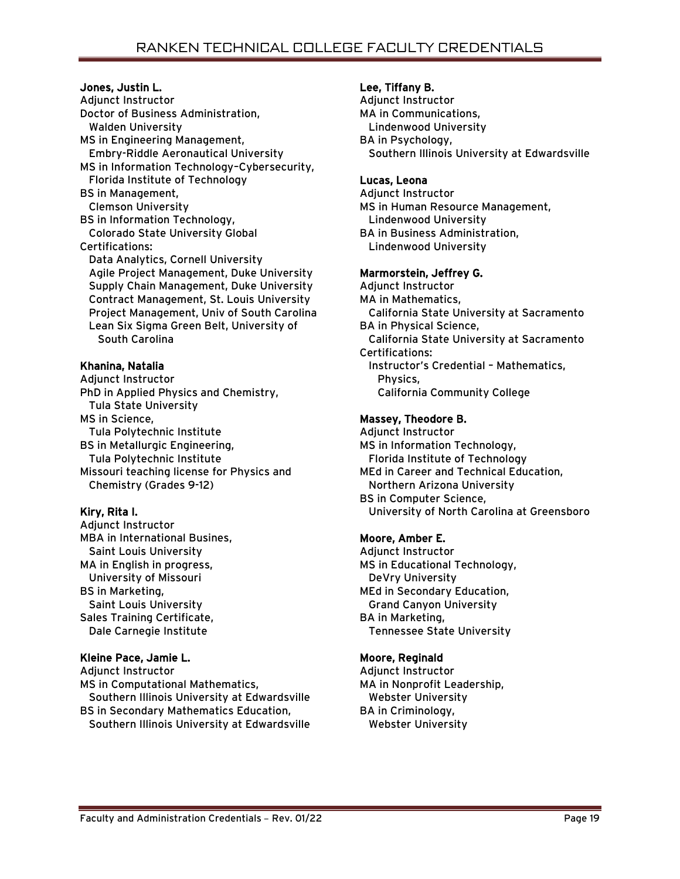### Jones, Justin L.

Adjunct Instructor Doctor of Business Administration, Walden University MS in Engineering Management, Embry-Riddle Aeronautical University MS in Information Technology–Cybersecurity, Florida Institute of Technology BS in Management, Clemson University BS in Information Technology, Colorado State University Global Certifications: Data Analytics, Cornell University Agile Project Management, Duke University Supply Chain Management, Duke University Contract Management, St. Louis University Project Management, Univ of South Carolina Lean Six Sigma Green Belt, University of South Carolina

# Khanina, Natalia

Adjunct Instructor PhD in Applied Physics and Chemistry, Tula State University MS in Science, Tula Polytechnic Institute BS in Metallurgic Engineering, Tula Polytechnic Institute Missouri teaching license for Physics and Chemistry (Grades 9-12)

# Kiry, Rita I.

Adjunct Instructor MBA in International Busines, Saint Louis University MA in English in progress, University of Missouri BS in Marketing, Saint Louis University Sales Training Certificate, Dale Carnegie Institute

# Kleine Pace, Jamie L.

Adjunct Instructor MS in Computational Mathematics, Southern Illinois University at Edwardsville BS in Secondary Mathematics Education, Southern Illinois University at Edwardsville

# Lee, Tiffany B.

Adjunct Instructor MA in Communications, Lindenwood University BA in Psychology, Southern Illinois University at Edwardsville

### Lucas, Leona

Adjunct Instructor MS in Human Resource Management, Lindenwood University BA in Business Administration, Lindenwood University

# Marmorstein, Jeffrey G.

Adjunct Instructor MA in Mathematics, California State University at Sacramento BA in Physical Science, California State University at Sacramento Certifications: Instructor's Credential – Mathematics, Physics, California Community College

# Massey, Theodore B.

Adjunct Instructor MS in Information Technology, Florida Institute of Technology MEd in Career and Technical Education, Northern Arizona University BS in Computer Science, University of North Carolina at Greensboro

# Moore, Amber E.

Adjunct Instructor MS in Educational Technology, DeVry University MEd in Secondary Education, Grand Canyon University BA in Marketing, Tennessee State University

# Moore, Reginald

Adjunct Instructor MA in Nonprofit Leadership, Webster University BA in Criminology, Webster University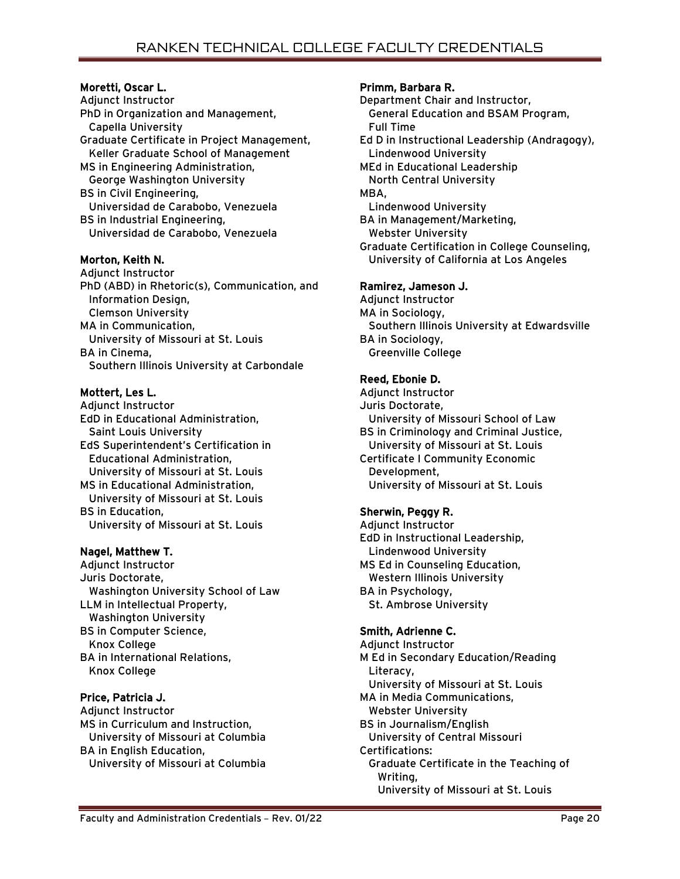# Moretti, Oscar L.

Adjunct Instructor PhD in Organization and Management, Capella University Graduate Certificate in Project Management, Keller Graduate School of Management MS in Engineering Administration, George Washington University BS in Civil Engineering, Universidad de Carabobo, Venezuela BS in Industrial Engineering, Universidad de Carabobo, Venezuela

# Morton, Keith N.

Adjunct Instructor PhD (ABD) in Rhetoric(s), Communication, and Information Design, Clemson University MA in Communication, University of Missouri at St. Louis BA in Cinema, Southern Illinois University at Carbondale

# Mottert, Les L.

Adjunct Instructor EdD in Educational Administration, Saint Louis University EdS Superintendent's Certification in Educational Administration, University of Missouri at St. Louis MS in Educational Administration, University of Missouri at St. Louis BS in Education, University of Missouri at St. Louis

# Nagel, Matthew T.

Adjunct Instructor Juris Doctorate, Washington University School of Law LLM in Intellectual Property, Washington University BS in Computer Science, Knox College BA in International Relations, Knox College

# Price, Patricia J.

Adjunct Instructor MS in Curriculum and Instruction, University of Missouri at Columbia BA in English Education, University of Missouri at Columbia

# Primm, Barbara R.

Department Chair and Instructor, General Education and BSAM Program, Full Time Ed D in Instructional Leadership (Andragogy), Lindenwood University MEd in Educational Leadership North Central University MBA, Lindenwood University BA in Management/Marketing, Webster University Graduate Certification in College Counseling, University of California at Los Angeles

# Ramirez, Jameson J.

Adjunct Instructor MA in Sociology, Southern Illinois University at Edwardsville BA in Sociology, Greenville College

# Reed, Ebonie D.

Adjunct Instructor Juris Doctorate, University of Missouri School of Law BS in Criminology and Criminal Justice, University of Missouri at St. Louis Certificate I Community Economic Development, University of Missouri at St. Louis

# Sherwin, Peggy R.

Adjunct Instructor EdD in Instructional Leadership, Lindenwood University MS Ed in Counseling Education, Western Illinois University BA in Psychology, St. Ambrose University

# Smith, Adrienne C.

Adjunct Instructor M Ed in Secondary Education/Reading Literacy, University of Missouri at St. Louis MA in Media Communications, Webster University BS in Journalism/English University of Central Missouri Certifications: Graduate Certificate in the Teaching of Writing, University of Missouri at St. Louis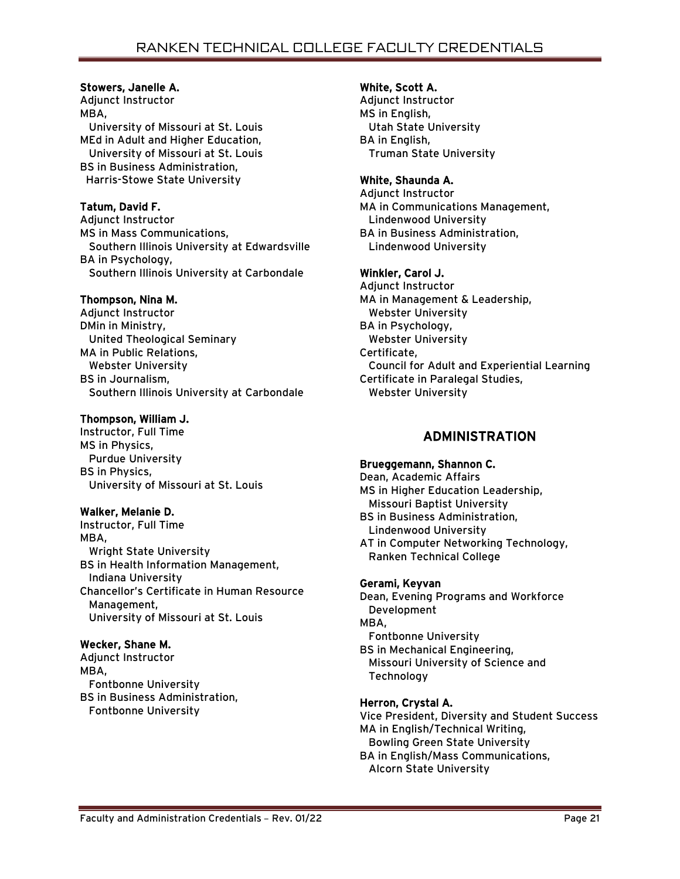# Stowers, Janelle A.

Adjunct Instructor MBA, University of Missouri at St. Louis MEd in Adult and Higher Education, University of Missouri at St. Louis BS in Business Administration, Harris-Stowe State University

# Tatum, David F.

Adjunct Instructor MS in Mass Communications, Southern Illinois University at Edwardsville BA in Psychology, Southern Illinois University at Carbondale

# Thompson, Nina M.

Adjunct Instructor DMin in Ministry, United Theological Seminary MA in Public Relations, Webster University BS in Journalism, Southern Illinois University at Carbondale

# Thompson, William J.

Instructor, Full Time MS in Physics, Purdue University BS in Physics, University of Missouri at St. Louis

# Walker, Melanie D.

Instructor, Full Time MBA, Wright State University BS in Health Information Management, Indiana University Chancellor's Certificate in Human Resource Management, University of Missouri at St. Louis

# Wecker, Shane M.

Adjunct Instructor MBA, Fontbonne University BS in Business Administration, Fontbonne University

# White, Scott A.

Adjunct Instructor MS in English, Utah State University BA in English, Truman State University

### White, Shaunda A.

Adjunct Instructor MA in Communications Management, Lindenwood University BA in Business Administration, Lindenwood University

# Winkler, Carol J.

Adjunct Instructor MA in Management & Leadership, Webster University BA in Psychology, Webster University Certificate, Council for Adult and Experiential Learning Certificate in Paralegal Studies, Webster University

# ADMINISTRATION

### Brueggemann, Shannon C.

Dean, Academic Affairs MS in Higher Education Leadership, Missouri Baptist University BS in Business Administration, Lindenwood University AT in Computer Networking Technology, Ranken Technical College

### Gerami, Keyvan

Dean, Evening Programs and Workforce Development MBA, Fontbonne University BS in Mechanical Engineering, Missouri University of Science and Technology

# Herron, Crystal A.

Vice President, Diversity and Student Success MA in English/Technical Writing, Bowling Green State University

BA in English/Mass Communications, Alcorn State University